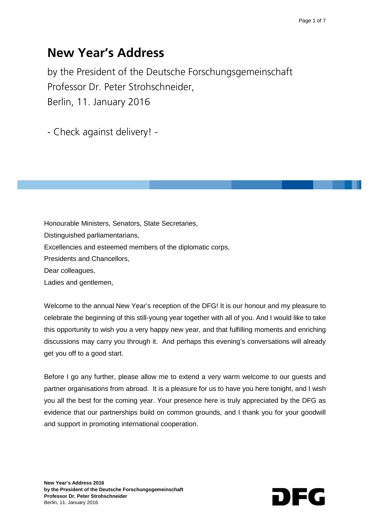## **New Year's Address**

by the President of the Deutsche Forschungsgemeinschaft Professor Dr. Peter Strohschneider, Berlin, 11. January 2016

- Check against delivery! -

Honourable Ministers, Senators, State Secretaries,

Distinguished parliamentarians,

Excellencies and esteemed members of the diplomatic corps,

Presidents and Chancellors,

Dear colleagues,

Ladies and gentlemen,

Welcome to the annual New Year's reception of the DFG! It is our honour and my pleasure to celebrate the beginning of this still-young year together with all of you. And I would like to take this opportunity to wish you a very happy new year, and that fulfilling moments and enriching discussions may carry you through it. And perhaps this evening's conversations will already get you off to a good start.

Before I go any further, please allow me to extend a very warm welcome to our guests and partner organisations from abroad. It is a pleasure for us to have you here tonight, and I wish you all the best for the coming year. Your presence here is truly appreciated by the DFG as evidence that our partnerships build on common grounds, and I thank you for your goodwill and support in promoting international cooperation.

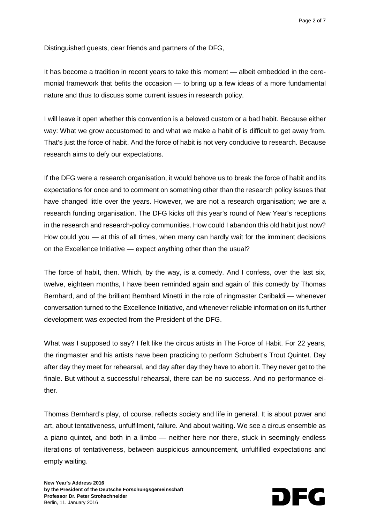Distinguished guests, dear friends and partners of the DFG,

It has become a tradition in recent years to take this moment — albeit embedded in the ceremonial framework that befits the occasion — to bring up a few ideas of a more fundamental nature and thus to discuss some current issues in research policy.

I will leave it open whether this convention is a beloved custom or a bad habit. Because either way: What we grow accustomed to and what we make a habit of is difficult to get away from. That's just the force of habit. And the force of habit is not very conducive to research. Because research aims to defy our expectations.

If the DFG were a research organisation, it would behove us to break the force of habit and its expectations for once and to comment on something other than the research policy issues that have changed little over the years. However, we are not a research organisation; we are a research funding organisation. The DFG kicks off this year's round of New Year's receptions in the research and research-policy communities. How could I abandon this old habit just now? How could you — at this of all times, when many can hardly wait for the imminent decisions on the Excellence Initiative — expect anything other than the usual?

The force of habit, then. Which, by the way, is a comedy. And I confess, over the last six, twelve, eighteen months, I have been reminded again and again of this comedy by Thomas Bernhard, and of the brilliant Bernhard Minetti in the role of ringmaster Caribaldi — whenever conversation turned to the Excellence Initiative, and whenever reliable information on its further development was expected from the President of the DFG.

What was I supposed to say? I felt like the circus artists in The Force of Habit. For 22 years, the ringmaster and his artists have been practicing to perform Schubert's Trout Quintet. Day after day they meet for rehearsal, and day after day they have to abort it. They never get to the finale. But without a successful rehearsal, there can be no success. And no performance either.

Thomas Bernhard's play, of course, reflects society and life in general. It is about power and art, about tentativeness, unfulfilment, failure. And about waiting. We see a circus ensemble as a piano quintet, and both in a limbo — neither here nor there, stuck in seemingly endless iterations of tentativeness, between auspicious announcement, unfulfilled expectations and empty waiting.

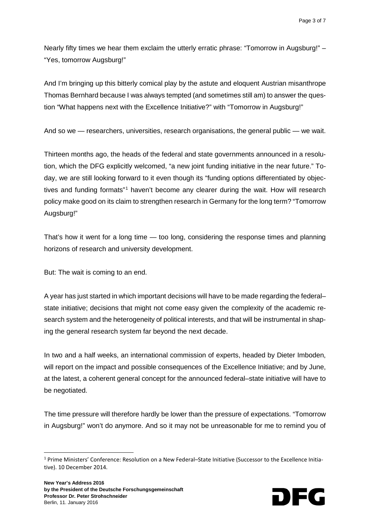Nearly fifty times we hear them exclaim the utterly erratic phrase: "Tomorrow in Augsburg!" – "Yes, tomorrow Augsburg!"

And I'm bringing up this bitterly comical play by the astute and eloquent Austrian misanthrope Thomas Bernhard because I was always tempted (and sometimes still am) to answer the question "What happens next with the Excellence Initiative?" with "Tomorrow in Augsburg!"

And so we — researchers, universities, research organisations, the general public — we wait.

Thirteen months ago, the heads of the federal and state governments announced in a resolution, which the DFG explicitly welcomed, "a new joint funding initiative in the near future." Today, we are still looking forward to it even though its "funding options differentiated by objec-tives and funding formats"<sup>[1](#page-2-0)</sup> haven't become any clearer during the wait. How will research policy make good on its claim to strengthen research in Germany for the long term? "Tomorrow Augsburg!"

That's how it went for a long time — too long, considering the response times and planning horizons of research and university development.

But: The wait is coming to an end.

A year has just started in which important decisions will have to be made regarding the federal– state initiative; decisions that might not come easy given the complexity of the academic research system and the heterogeneity of political interests, and that will be instrumental in shaping the general research system far beyond the next decade.

In two and a half weeks, an international commission of experts, headed by Dieter Imboden, will report on the impact and possible consequences of the Excellence Initiative; and by June, at the latest, a coherent general concept for the announced federal–state initiative will have to be negotiated.

The time pressure will therefore hardly be lower than the pressure of expectations. "Tomorrow in Augsburg!" won't do anymore. And so it may not be unreasonable for me to remind you of

<span id="page-2-0"></span><sup>1</sup> Prime Ministers' Conference: Resolution on a New Federal–State Initiative (Successor to the Excellence Initiative). 10 December 2014.



-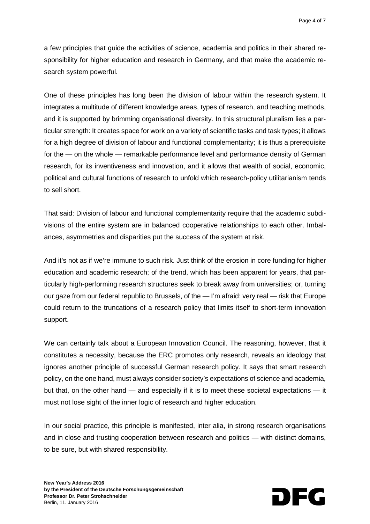a few principles that guide the activities of science, academia and politics in their shared responsibility for higher education and research in Germany, and that make the academic research system powerful.

One of these principles has long been the division of labour within the research system. It integrates a multitude of different knowledge areas, types of research, and teaching methods, and it is supported by brimming organisational diversity. In this structural pluralism lies a particular strength: It creates space for work on a variety of scientific tasks and task types; it allows for a high degree of division of labour and functional complementarity; it is thus a prerequisite for the — on the whole — remarkable performance level and performance density of German research, for its inventiveness and innovation, and it allows that wealth of social, economic, political and cultural functions of research to unfold which research-policy utilitarianism tends to sell short.

That said: Division of labour and functional complementarity require that the academic subdivisions of the entire system are in balanced cooperative relationships to each other. Imbalances, asymmetries and disparities put the success of the system at risk.

And it's not as if we're immune to such risk. Just think of the erosion in core funding for higher education and academic research; of the trend, which has been apparent for years, that particularly high-performing research structures seek to break away from universities; or, turning our gaze from our federal republic to Brussels, of the — I'm afraid: very real — risk that Europe could return to the truncations of a research policy that limits itself to short-term innovation support.

We can certainly talk about a European Innovation Council. The reasoning, however, that it constitutes a necessity, because the ERC promotes only research, reveals an ideology that ignores another principle of successful German research policy. It says that smart research policy, on the one hand, must always consider society's expectations of science and academia, but that, on the other hand — and especially if it is to meet these societal expectations — it must not lose sight of the inner logic of research and higher education.

In our social practice, this principle is manifested, inter alia, in strong research organisations and in close and trusting cooperation between research and politics — with distinct domains, to be sure, but with shared responsibility.

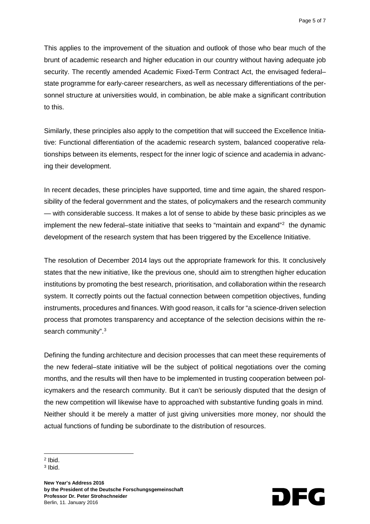This applies to the improvement of the situation and outlook of those who bear much of the brunt of academic research and higher education in our country without having adequate job security. The recently amended Academic Fixed-Term Contract Act, the envisaged federal– state programme for early-career researchers, as well as necessary differentiations of the personnel structure at universities would, in combination, be able make a significant contribution to this.

Similarly, these principles also apply to the competition that will succeed the Excellence Initiative: Functional differentiation of the academic research system, balanced cooperative relationships between its elements, respect for the inner logic of science and academia in advancing their development.

In recent decades, these principles have supported, time and time again, the shared responsibility of the federal government and the states, of policymakers and the research community — with considerable success. It makes a lot of sense to abide by these basic principles as we implement the new federal–state initiative that seeks to "maintain and expand"<sup>[2](#page-4-0)</sup> the dynamic development of the research system that has been triggered by the Excellence Initiative.

The resolution of December 2014 lays out the appropriate framework for this. It conclusively states that the new initiative, like the previous one, should aim to strengthen higher education institutions by promoting the best research, prioritisation, and collaboration within the research system. It correctly points out the factual connection between competition objectives, funding instruments, procedures and finances. With good reason, it calls for "a science-driven selection process that promotes transparency and acceptance of the selection decisions within the re-search community".<sup>[3](#page-4-1)</sup>

Defining the funding architecture and decision processes that can meet these requirements of the new federal–state initiative will be the subject of political negotiations over the coming months, and the results will then have to be implemented in trusting cooperation between policymakers and the research community. But it can't be seriously disputed that the design of the new competition will likewise have to approached with substantive funding goals in mind. Neither should it be merely a matter of just giving universities more money, nor should the actual functions of funding be subordinate to the distribution of resources.

 $2$  Ibid. -

**New Year's Address 2016 by the President of the Deutsche Forschungsgemeinschaft**<br> **Professor Dr. Peter Strohschneider**<br>
Berlin, 11. January 2016 **Professor Dr. Peter Strohschneider**



<span id="page-4-1"></span><span id="page-4-0"></span> $3$  Ibid.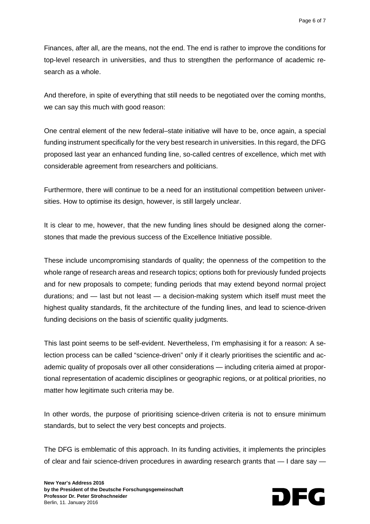Finances, after all, are the means, not the end. The end is rather to improve the conditions for top-level research in universities, and thus to strengthen the performance of academic research as a whole.

And therefore, in spite of everything that still needs to be negotiated over the coming months, we can say this much with good reason:

One central element of the new federal–state initiative will have to be, once again, a special funding instrument specifically for the very best research in universities. In this regard, the DFG proposed last year an enhanced funding line, so-called centres of excellence, which met with considerable agreement from researchers and politicians.

Furthermore, there will continue to be a need for an institutional competition between universities. How to optimise its design, however, is still largely unclear.

It is clear to me, however, that the new funding lines should be designed along the cornerstones that made the previous success of the Excellence Initiative possible.

These include uncompromising standards of quality; the openness of the competition to the whole range of research areas and research topics; options both for previously funded projects and for new proposals to compete; funding periods that may extend beyond normal project durations; and — last but not least — a decision-making system which itself must meet the highest quality standards, fit the architecture of the funding lines, and lead to science-driven funding decisions on the basis of scientific quality judgments.

This last point seems to be self-evident. Nevertheless, I'm emphasising it for a reason: A selection process can be called "science-driven" only if it clearly prioritises the scientific and academic quality of proposals over all other considerations — including criteria aimed at proportional representation of academic disciplines or geographic regions, or at political priorities, no matter how legitimate such criteria may be.

In other words, the purpose of prioritising science-driven criteria is not to ensure minimum standards, but to select the very best concepts and projects.

The DFG is emblematic of this approach. In its funding activities, it implements the principles of clear and fair science-driven procedures in awarding research grants that — I dare say —